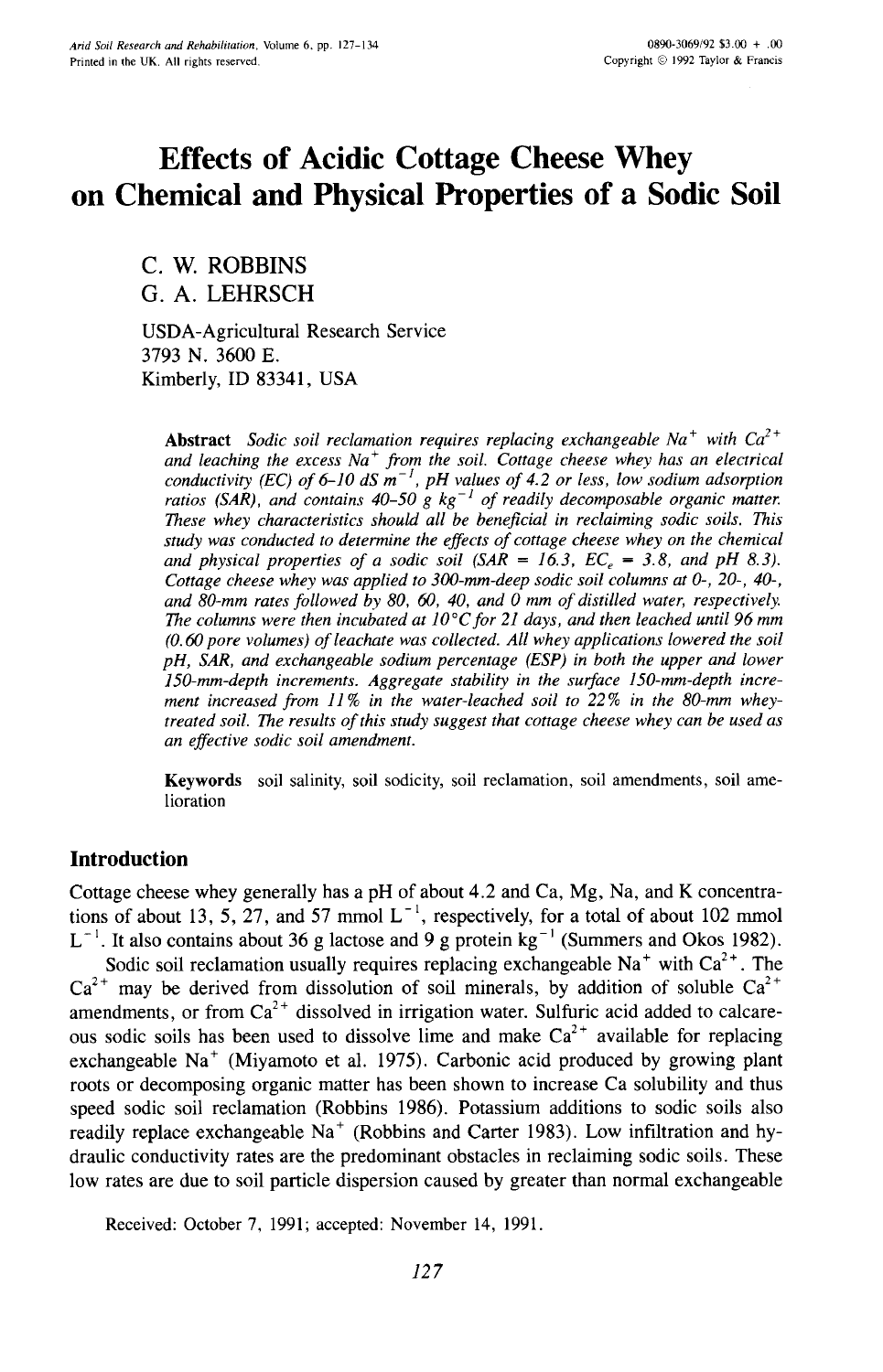# **Effects of Acidic Cottage Cheese Whey on Chemical and Physical Properties of a Sodic Soil**

C. W. ROBBINS G. A. **LEHRSCH**

USDA-Agricultural Research Service 3793 N. 3600 E. Kimberly, ID 83341, USA

Abstract *Sodic soil reclamation requires replacing exchangeable Na + with Ca2+ and leaching the excess Na + from the soil. Cottage cheese whey has an electrical conductivity (EC) of 6-10 dS m -1 , pH values of 4.2 or less, low sodium adsorption ratios (SAR), and contains 40-50 g kg -1 of readily decomposable organic matter. These whey characteristics should all be beneficial in reclaiming sodic soils. This study was conducted to determine the effects of cottage cheese whey on the chemical* and physical properties of a sodic soil  $(SAR = 16.3, EC<sub>e</sub> = 3.8, and pH 8.3)$ . *Cottage cheese whey was applied to 300-mm-deep sodic soil columns at 0-, 20-, 40-, and 80-mm rates followed by 80, 60, 40, and 0 mm of distilled water, respectively. The columns were then incubated at 10°C for 21 days, and then leached until 96 mm (0.60 pore volumes) of leachate was collected. All whey applications lowered the soil pH, SAR, and exchangeable sodium percentage (ESP) in both the upper and lower 150-mm-depth increments. Aggregate stability in the surface 150-mm-depth increment increased from 11 % in the water-leached soil to 22% in the 80-mm wheytreated soil. The results of this study suggest that cottage cheese whey can be used as an effective sodic soil amendment.*

Keywords soil salinity, soil sodicity, soil reclamation, soil amendments, soil amelioration

# **Introduction**

Cottage cheese whey generally has a pH of about 4.2 and Ca, Mg, Na, and K concentrations of about 13, 5, 27, and 57 mmol  $L^{-1}$ , respectively, for a total of about 102 mmol  $L^{-1}$ . It also contains about 36 g lactose and 9 g protein kg<sup>-1</sup> (Summers and Okos 1982).

Sodic soil reclamation usually requires replacing exchangeable  $Na<sup>+</sup>$  with  $Ca<sup>2+</sup>$ . The  $Ca^{2+}$  may be derived from dissolution of soil minerals, by addition of soluble  $Ca^{2+}$ amendments, or from  $Ca^{2+}$  dissolved in irrigation water. Sulfuric acid added to calcareous sodic soils has been used to dissolve lime and make  $Ca^{2+}$  available for replacing exchangeable  $Na<sup>+</sup>$  (Miyamoto et al. 1975). Carbonic acid produced by growing plant roots or decomposing organic matter has been shown to increase Ca solubility and thus speed sodic soil reclamation (Robbins 1986). Potassium additions to sodic soils also readily replace exchangeable  $Na<sup>+</sup>$  (Robbins and Carter 1983). Low infiltration and hydraulic conductivity rates are the predominant obstacles in reclaiming sodic soils. These low rates are due to soil particle dispersion caused by greater than normal exchangeable

Received: October 7, 1991; accepted: November 14, 1991.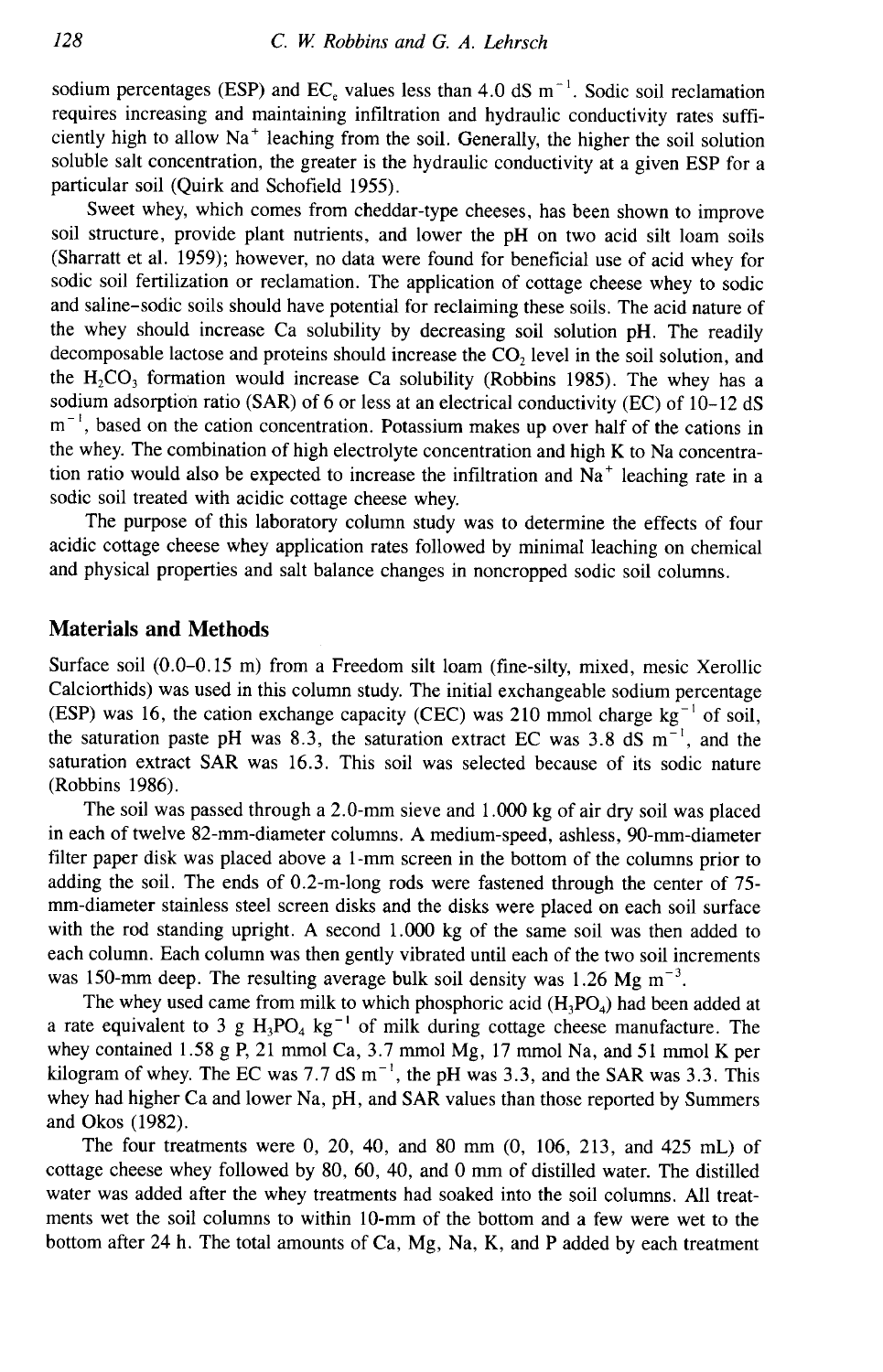sodium percentages (ESP) and  $EC_e$  values less than 4.0 dS m<sup>-1</sup>. Sodic soil reclamation requires increasing and maintaining infiltration and hydraulic conductivity rates sufficiently high to allow Na<sup>+</sup> leaching from the soil. Generally, the higher the soil solution soluble salt concentration, the greater is the hydraulic conductivity at a given ESP for a particular soil (Quirk and Schofield 1955).

Sweet whey, which comes from cheddar-type cheeses, has been shown to improve soil structure, provide plant nutrients, and lower the pH on two acid silt loam soils (Sharratt et al. 1959); however, no data were found for beneficial use of acid whey for sodic soil fertilization or reclamation. The application of cottage cheese whey to sodic and saline-sodic soils should have potential for reclaiming these soils. The acid nature of the whey should increase Ca solubility by decreasing soil solution pH. The readily decomposable lactose and proteins should increase the CO, level in the soil solution, and the  $H_2CO_3$  formation would increase Ca solubility (Robbins 1985). The whey has a sodium adsorption ratio (SAR) of 6 or less at an electrical conductivity (EC) of 10-12 dS  $m^{-1}$ , based on the cation concentration. Potassium makes up over half of the cations in the whey. The combination of high electrolyte concentration and high K to Na concentration ratio would also be expected to increase the infiltration and  $Na<sup>+</sup>$  leaching rate in a sodic soil treated with acidic cottage cheese whey.

The purpose of this laboratory column study was to determine the effects of four acidic cottage cheese whey application rates followed by minimal leaching on chemical and physical properties and salt balance changes in noncropped sodic soil columns.

## **Materials and Methods**

Surface soil (0.0-0.15 m) from a Freedom silt loam (fine-silty, mixed, mesic Xerollic Calciorthids) was used in this column study. The initial exchangeable sodium percentage (ESP) was 16, the cation exchange capacity (CEC) was 210 mmol charge  $kg^{-1}$  of soil, the saturation paste pH was 8.3, the saturation extract EC was 3.8 dS  $m^{-1}$ , and the saturation extract SAR was 16.3. This soil was selected because of its sodic nature (Robbins 1986).

The soil was passed through a 2.0-mm sieve and 1.000 kg of air dry soil was placed in each of twelve 82-mm-diameter columns. A medium-speed, ashless, 90-mm-diameter filter paper disk was placed above a 1-mm screen in the bottom of the columns prior to adding the soil. The ends of 0.2-m-long rods were fastened through the center of 75 mm-diameter stainless steel screen disks and the disks were placed on each soil surface with the rod standing upright. A second 1.000 kg of the same soil was then added to each column. Each column was then gently vibrated until each of the two soil increments was 150-mm deep. The resulting average bulk soil density was 1.26 Mg  $\text{m}^{-3}$ .

The whey used came from milk to which phosphoric acid  $(H_3PO_4)$  had been added at a rate equivalent to 3 g  $H_3PO_4$  kg<sup>-1</sup> of milk during cottage cheese manufacture. The whey contained 1.58 g P, 21 mmol Ca, 3.7 mmol Mg, 17 mmol Na, and 51 mmol K per kilogram of whey. The EC was 7.7 dS  $m^{-1}$ , the pH was 3.3, and the SAR was 3.3. This whey had higher Ca and lower Na, pH, and SAR values than those reported by Summers and Okos (1982).

The four treatments were 0, 20, 40, and 80 mm (0, 106, 213, and 425 mL) of cottage cheese whey followed by 80, 60, 40, and 0 mm of distilled water. The distilled water was added after the whey treatments had soaked into the soil columns. All treatments wet the soil columns to within 10-mm of the bottom and a few were wet to the bottom after 24 h. The total amounts of Ca, Mg, Na, K, and P added by each treatment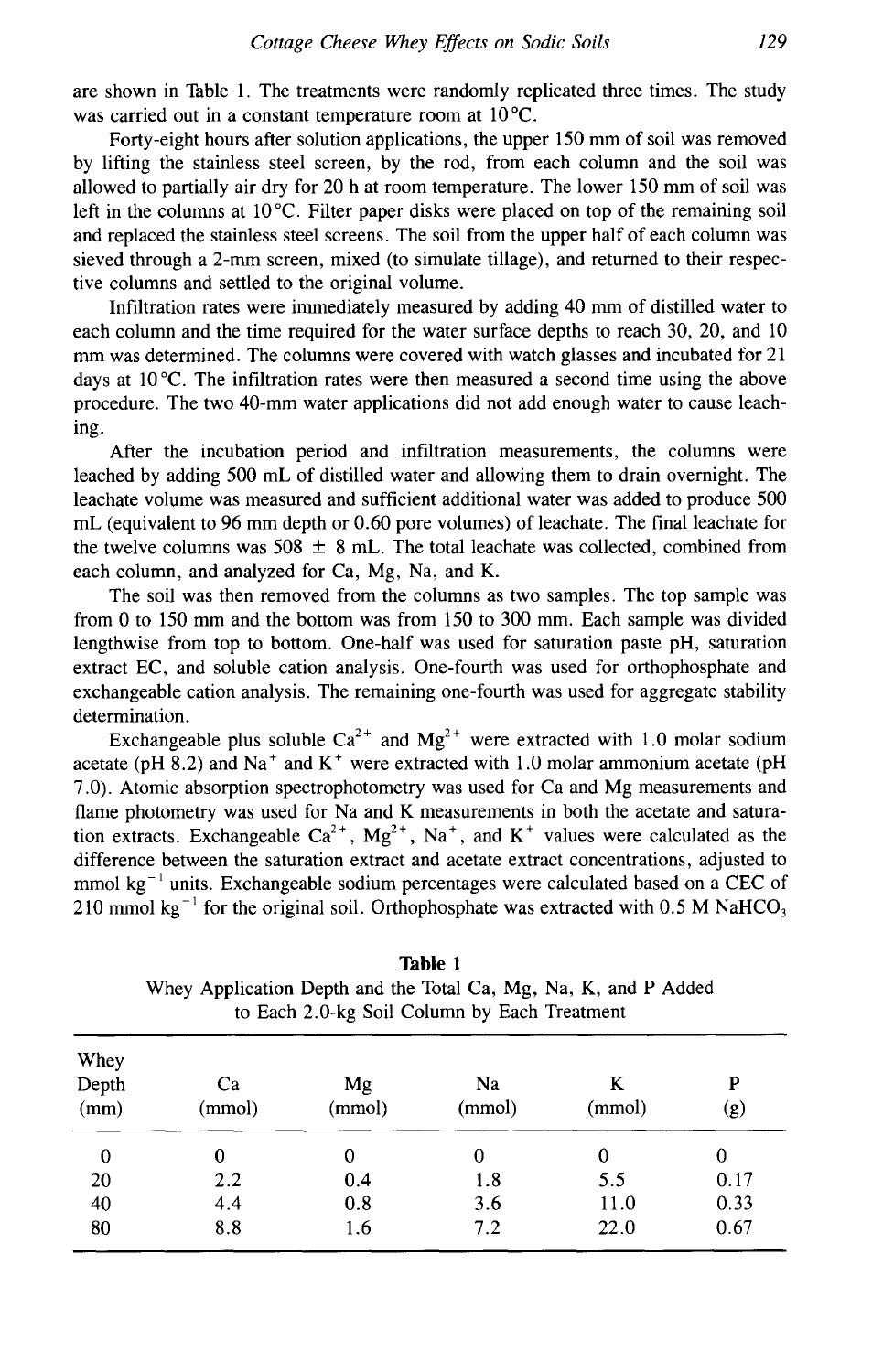are shown in Table 1. The treatments were randomly replicated three times. The study was carried out in a constant temperature room at  $10^{\circ}$ C.

Forty-eight hours after solution applications, the upper 150 mm of soil was removed by lifting the stainless steel screen, by the rod, from each column and the soil was allowed to partially air dry for 20 h at room temperature. The lower 150 mm of soil was left in the columns at  $10^{\circ}$ C. Filter paper disks were placed on top of the remaining soil and replaced the stainless steel screens. The soil from the upper half of each column was sieved through a 2-mm screen, mixed (to simulate tillage), and returned to their respective columns and settled to the original volume.

Infiltration rates were immediately measured by adding 40 mm of distilled water to each column and the time required for the water surface depths to reach 30, 20, and 10 mm was determined. The columns were covered with watch glasses and incubated for 21 days at 10 °C. The infiltration rates were then measured a second time using the above procedure. The two 40-mm water applications did not add enough water to cause leaching.

After the incubation period and infiltration measurements, the columns were leached by adding 500 mL of distilled water and allowing them to drain overnight. The leachate volume was measured and sufficient additional water was added to produce 500 mL (equivalent to 96 mm depth or 0.60 pore volumes) of leachate. The final leachate for the twelve columns was 508  $\pm$  8 mL. The total leachate was collected, combined from each column, and analyzed for Ca, Mg, Na, and K.

The soil was then removed from the columns as two samples. The top sample was from 0 to 150 mm and the bottom was from 150 to 300 mm. Each sample was divided lengthwise from top to bottom. One-half was used for saturation paste pH, saturation extract EC, and soluble cation analysis. One-fourth was used for orthophosphate and exchangeable cation analysis. The remaining one-fourth was used for aggregate stability determination.

Exchangeable plus soluble  $Ca^{2+}$  and  $Mg^{2+}$  were extracted with 1.0 molar sodium acetate (pH 8.2) and  $Na<sup>+</sup>$  and  $K<sup>+</sup>$  were extracted with 1.0 molar ammonium acetate (pH 7.0). Atomic absorption spectrophotometry was used for Ca and Mg measurements and flame photometry was used for Na and K measurements in both the acetate and saturation extracts. Exchangeable  $Ca^{2+}$ ,  $Mg^{2+}$ , Na<sup>+</sup>, and K<sup>+</sup> values were calculated as the difference between the saturation extract and acetate extract concentrations, adjusted to mmol  $kg^{-1}$  units. Exchangeable sodium percentages were calculated based on a CEC of 210 mmol kg<sup>-1</sup> for the original soil. Orthophosphate was extracted with  $0.5 M NafCO<sub>3</sub>$ 

| Whey<br>Depth<br>(mm) | Ca<br>(mmol) | Mg<br>(mmol) | Na<br>(mmol) | K<br>(mmol) | P<br>(g) |
|-----------------------|--------------|--------------|--------------|-------------|----------|
| 0                     | 0            | 0            | 0            | 0           | 0        |
| 20                    | 2.2          | 0.4          | 1.8          | 5.5         | 0.17     |
| 40                    | 4.4          | 0.8          | 3.6          | 11.0        | 0.33     |
| 80                    | 8.8          | 1.6          | 7.2          | 22.0        | 0.67     |

**Table 1** Whey Application Depth and the Total Ca, Mg, Na, K, and P Added to Each 2.0-kg Soil Column by Each Treatment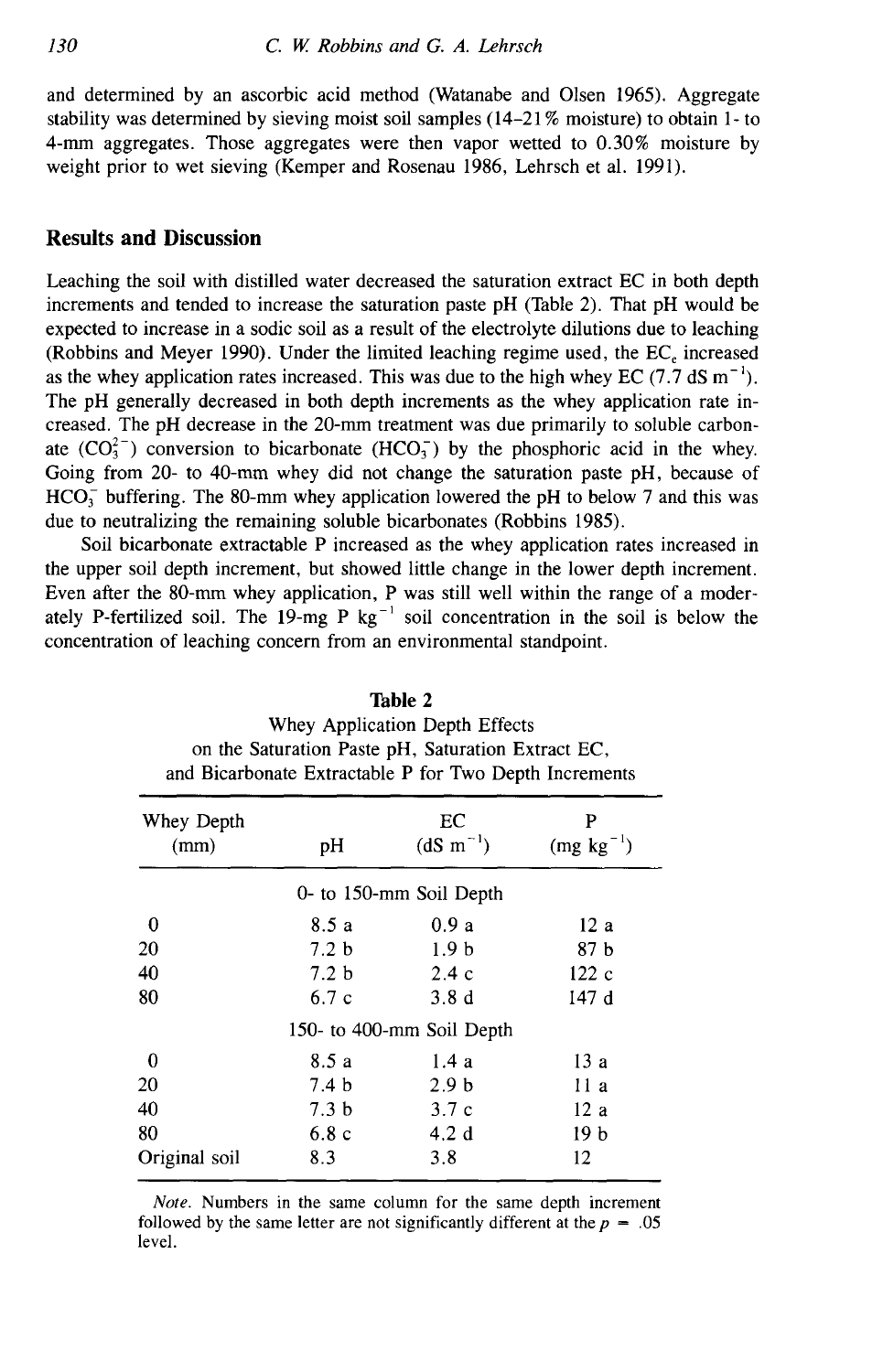and determined by an ascorbic acid method (Watanabe and Olsen 1965). Aggregate stability was determined by sieving moist soil samples (14-21% moisture) to obtain 1- to 4-mm aggregates. Those aggregates were then vapor wetted to 0.30% moisture by weight prior to wet sieving (Kemper and Rosenau 1986, Lehrsch et al. 1991).

#### **Results and Discussion**

Leaching the soil with distilled water decreased the saturation extract EC in both depth increments and tended to increase the saturation paste pH (Table 2). That pH would be expected to increase in a sodic soil as a result of the electrolyte dilutions due to leaching (Robbins and Meyer 1990). Under the limited leaching regime used, the EC, increased as the whey application rates increased. This was due to the high whey EC (7.7 dS  $m^{-1}$ ). The pH generally decreased in both depth increments as the whey application rate increased. The pH decrease in the 20-mm treatment was due primarily to soluble carbonate  $(CO_3^{2-})$  conversion to bicarbonate  $(HCO_3^-)$  by the phosphoric acid in the whey. Going from 20- to 40-mm whey did not change the saturation paste pH, because of  $HCO<sub>3</sub>$  buffering. The 80-mm whey application lowered the pH to below 7 and this was due to neutralizing the remaining soluble bicarbonates (Robbins 1985).

Soil bicarbonate extractable P increased as the whey application rates increased in the upper soil depth increment, but showed little change in the lower depth increment. Even after the 80-mm whey application, P was still well within the range of a moderately P-fertilized soil. The 19-mg P  $kg^{-1}$  soil concentration in the soil is below the concentration of leaching concern from an environmental standpoint.

| and Bicarbonate Extractable P for Two Depth Increments |                  |                           |                     |  |  |
|--------------------------------------------------------|------------------|---------------------------|---------------------|--|--|
| Whey Depth<br>(mm)                                     | pН               | EC<br>$(dS \; m^{-1})$    | P<br>$(mg kg^{-1})$ |  |  |
|                                                        |                  | 0- to 150-mm Soil Depth   |                     |  |  |
| 0                                                      | 8.5 a            | 0.9a                      | 12a                 |  |  |
| 20                                                     | 7.2 <sub>b</sub> | 1.9 <sub>b</sub>          | 87 b                |  |  |
| 40                                                     | 7.2 <sub>b</sub> | 2.4c                      | 122c                |  |  |
| 80                                                     | 6.7c             | 3.8d                      | 147d                |  |  |
|                                                        |                  | 150- to 400-mm Soil Depth |                     |  |  |
| 0                                                      | 8.5 a            | 1.4a                      | 13a                 |  |  |
| 20                                                     | 7.4 <sub>b</sub> | 2.9 <sub>b</sub>          | 11 a                |  |  |
| 40                                                     | 7.3 <sub>b</sub> | 3.7c                      | 12 a                |  |  |
| 80                                                     | 6.8c             | 4.2d                      | 19 <sub>b</sub>     |  |  |
| Original soil                                          | 8.3              | 3.8                       | 12                  |  |  |

**Table** 2 Whey Application Depth Effects on the Saturation Paste pH, Saturation Extract EC,

*Note.* Numbers in the same column for the same depth increment followed by the same letter are not significantly different at the  $p = .05$ level.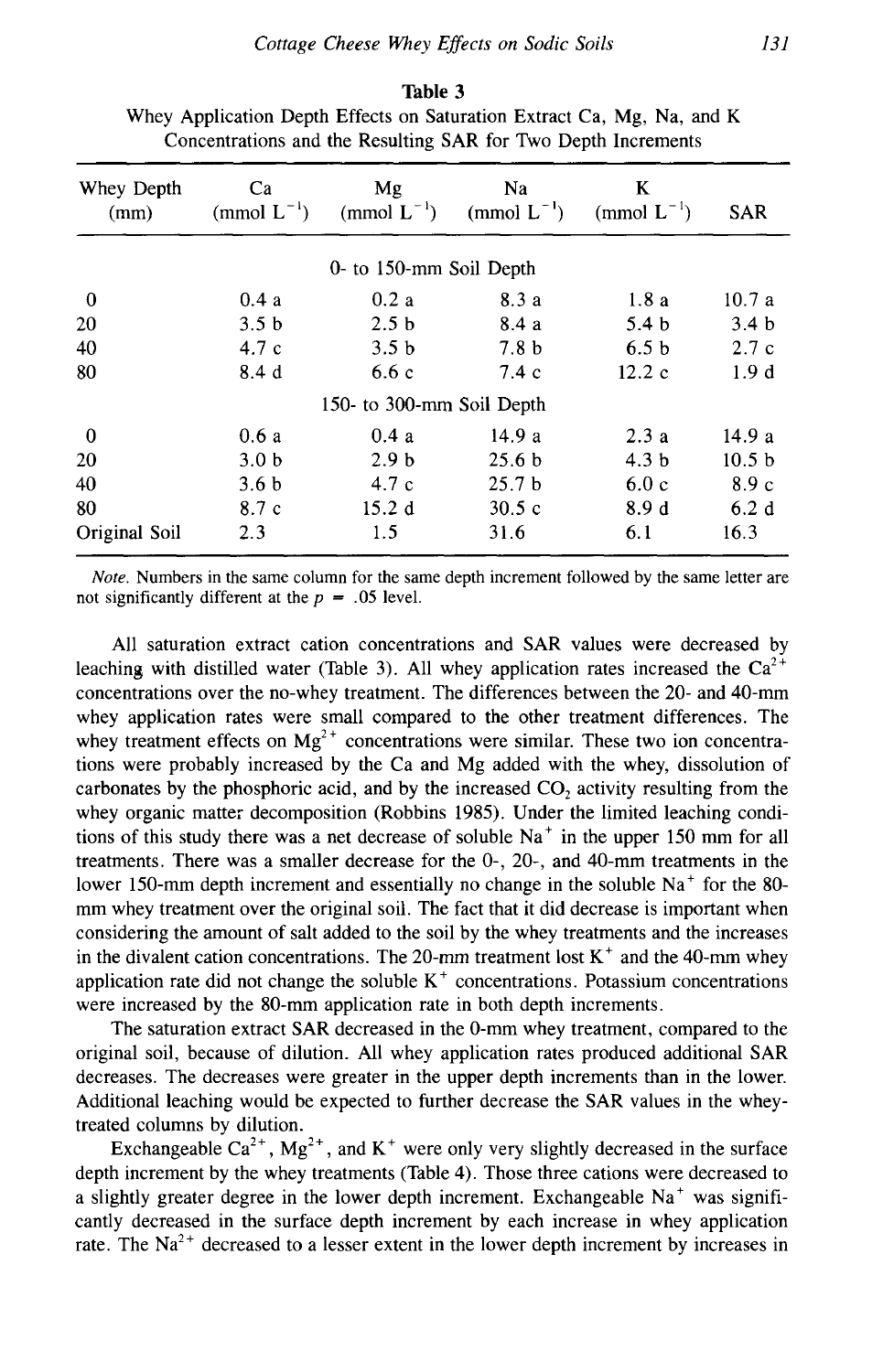| Whey Depth<br>(mm) | Ca<br>(mmol $L^{-1}$ ) | Mg<br>(mmol $L^{-1}$ )    | Na<br>(mmol $L^{-1}$ ) | K<br>(mmol $L^{-1}$ ) | <b>SAR</b>        |
|--------------------|------------------------|---------------------------|------------------------|-----------------------|-------------------|
|                    |                        | 0- to 150-mm Soil Depth   |                        |                       |                   |
| $\bf{0}$           | 0.4a                   | 0.2a                      | 8.3a                   | 1.8a                  | 10.7a             |
| 20                 | 3.5 <sub>b</sub>       | 2.5 <sub>b</sub>          | 8.4 a                  | 5.4 <sub>b</sub>      | 3.4 <sub>b</sub>  |
| 40                 | 4.7c                   | 3.5 <sub>b</sub>          | 7.8 <sub>b</sub>       | 6.5 <sub>b</sub>      | 2.7c              |
| 80                 | 8.4d                   | 6.6c                      | 7.4c                   | 12.2c                 | 1.9d              |
|                    |                        | 150- to 300-mm Soil Depth |                        |                       |                   |
| $\bf{0}$           | 0.6a                   | 0.4a                      | 14.9 a                 | 2.3a                  | 14.9 a            |
| 20                 | 3.0 <sub>b</sub>       | 2.9 <sub>b</sub>          | 25.6 <sub>b</sub>      | 4.3 <sub>b</sub>      | 10.5 <sub>b</sub> |
| 40                 | 3.6 <sub>b</sub>       | 4.7c                      | 25.7 <sub>b</sub>      | 6.0c                  | 8.9c              |
| 80                 | 8.7 c                  | 15.2d                     | 30.5c                  | 8.9d                  | 6.2d              |
| Original Soil      | 2.3                    | 1.5                       | 31.6                   | 6.1                   | 16.3              |
|                    |                        |                           |                        |                       |                   |

**Table** 3 Whey Application Depth Effects on Saturation Extract Ca, Mg, Na, and K Concentrations and the Resulting SAR for Two Depth Increments

*Note.* Numbers in the same column for the same depth increment followed by the same letter are not significantly different at the *p =* .05 level.

All saturation extract cation concentrations and SAR values were decreased by leaching with distilled water (Table 3). All whey application rates increased the  $Ca^{2+}$ concentrations over the no-whey treatment. The differences between the 20- and 40-mm whey application rates were small compared to the other treatment differences. The whey treatment effects on  $Mg^{2+}$  concentrations were similar. These two ion concentrations were probably increased by the Ca and Mg added with the whey, dissolution of carbonates by the phosphoric acid, and by the increased  $CO<sub>2</sub>$  activity resulting from the whey organic matter decomposition (Robbins 1985). Under the limited leaching conditions of this study there was a net decrease of soluble  $Na<sup>+</sup>$  in the upper 150 mm for all treatments. There was a smaller decrease for the 0-, 20-, and 40-mm treatments in the lower 150-mm depth increment and essentially no change in the soluble  $Na<sup>+</sup>$  for the 80mm whey treatment over the original soil. The fact that it did decrease is important when considering the amount of salt added to the soil by the whey treatments and the increases in the divalent cation concentrations. The 20-mm treatment lost  $K^+$  and the 40-mm whey application rate did not change the soluble  $K<sup>+</sup>$  concentrations. Potassium concentrations were increased by the 80-mm application rate in both depth increments.

The saturation extract SAR decreased in the 0-mm whey treatment, compared to the original soil, because of dilution. All whey application rates produced additional SAR decreases. The decreases were greater in the upper depth increments than in the lower. Additional leaching would be expected to further decrease the SAR values in the wheytreated columns by dilution.

Exchangeable  $Ca^{2+}$ ,  $Mg^{2+}$ , and K<sup>+</sup> were only very slightly decreased in the surface depth increment by the whey treatments (Table 4). Those three cations were decreased to a slightly greater degree in the lower depth increment. Exchangeable  $Na<sup>+</sup>$  was significantly decreased in the surface depth increment by each increase in whey application rate. The  $Na^{2+}$  decreased to a lesser extent in the lower depth increment by increases in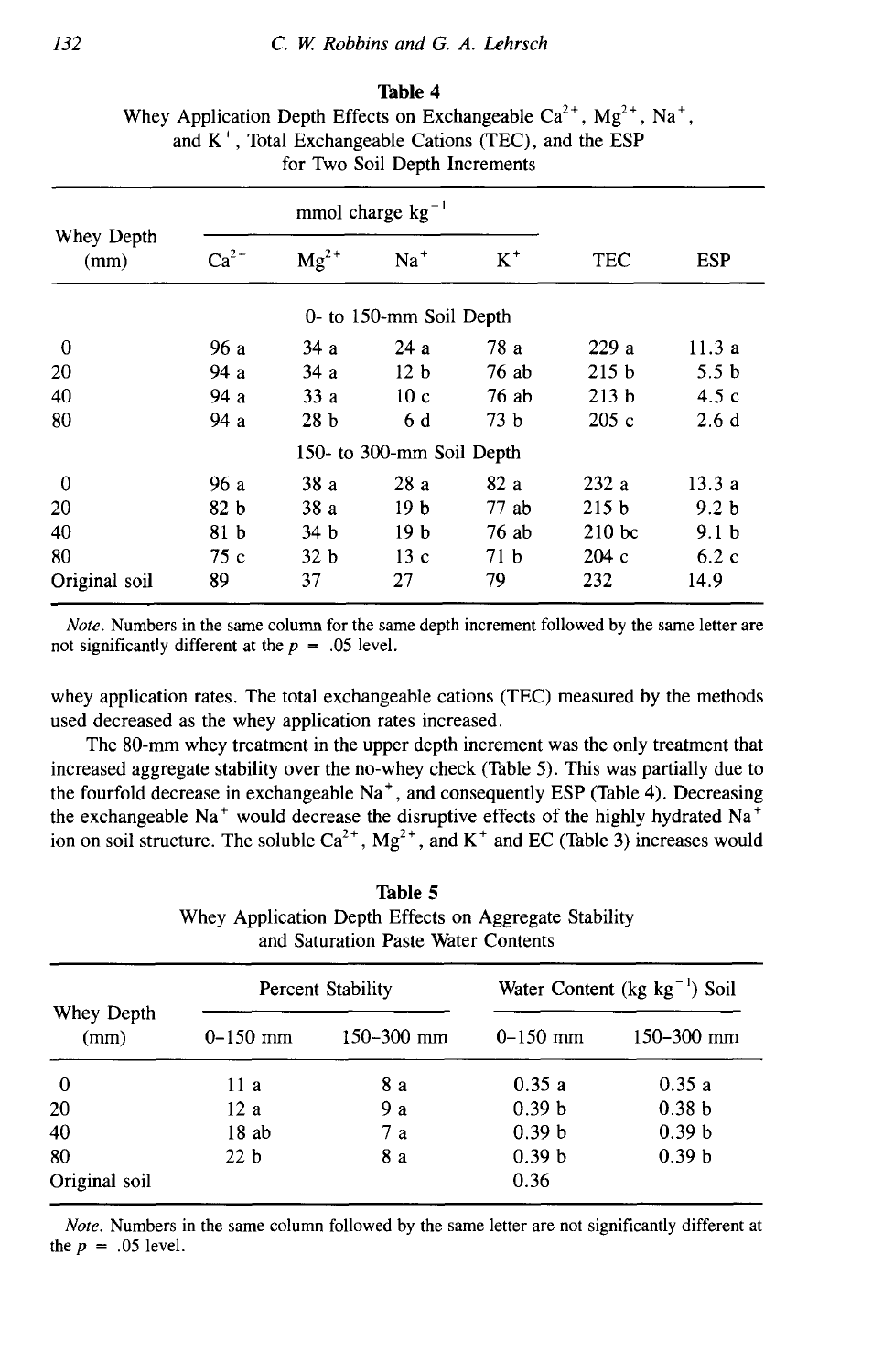**Table 4** Whey Application Depth Effects on Exchangeable  $Ca^{2+}$ ,  $Mg^{2+}$ , Na<sup>+</sup>, and  $K^+$ , Total Exchangeable Cations (TEC), and the ESP for Two Soil Depth Increments

|                    | mmol charge $kg^{-1}$ |                 |                           |                 |                   |                  |
|--------------------|-----------------------|-----------------|---------------------------|-----------------|-------------------|------------------|
| Whey Depth<br>(mm) | $Ca^{2+}$             | $Mg^{2+}$       | $Na+$                     | $K^+$           | <b>TEC</b>        | <b>ESP</b>       |
|                    |                       |                 | 0- to 150-mm Soil Depth   |                 |                   |                  |
| $\bf{0}$           | 96 a                  | 34 a            | 24 a                      | 78 a            | 229a              | 11.3a            |
| 20                 | 94a                   | 34a             | 12 <sub>b</sub>           | 76ab            | 215 <sub>b</sub>  | 5.5 <sub>b</sub> |
| 40                 | 94a                   | 33a             | 10 <sub>c</sub>           | 76 ab           | 213 <sub>b</sub>  | 4.5c             |
| 80                 | 94a                   | 28 <sub>b</sub> | 6 d                       | 73 <sub>b</sub> | 205c              | 2.6d             |
|                    |                       |                 | 150- to 300-mm Soil Depth |                 |                   |                  |
| 0                  | 96 a                  | 38a             | 28a                       | 82a             | 232a              | 13.3a            |
| 20                 | 82 <sub>b</sub>       | 38a             | 19 <sub>b</sub>           | $77$ ab         | 215 <sub>b</sub>  | 9.2 <sub>b</sub> |
| 40                 | 81 b                  | 34 <sub>b</sub> | 19 <sub>b</sub>           | 76 ab           | 210 <sub>bc</sub> | 9.1 <sub>b</sub> |
| 80                 | 75 c                  | 32 <sub>b</sub> | 13c                       | 71 <sub>b</sub> | 204c              | 6.2c             |
| Original soil      | 89                    | 37              | 27                        | 79              | 232               | 14.9             |

*Note.* Numbers in the same column for the same depth increment followed by the same letter are not significantly different at the  $p = .05$  level.

whey application rates. The total exchangeable cations (TEC) measured by the methods used decreased as the whey application rates increased.

The 80-mm whey treatment in the upper depth increment was the only treatment that increased aggregate stability over the no-whey check (Table 5). This was partially due to the fourfold decrease in exchangeable  $Na<sup>+</sup>$ , and consequently ESP (Table 4). Decreasing the exchangeable Na<sup>+</sup> would decrease the disruptive effects of the highly hydrated Na<sup>+</sup> ion on soil structure. The soluble  $Ca^{2+}$ ,  $Mg^{2+}$ , and  $K^+$  and EC (Table 3) increases would

**Table** 5 Whey Application Depth Effects on Aggregate Stability and Saturation Paste Water Contents

| Whey Depth<br>(mm) | <b>Percent Stability</b> |                | Water Content (kg $kg^{-1}$ ) Soil |                   |  |
|--------------------|--------------------------|----------------|------------------------------------|-------------------|--|
|                    | $0-150$ mm               | $150 - 300$ mm | $0 - 150$ mm                       | $150 - 300$ mm    |  |
| $\bf{0}$           | 11 a                     | 8а             | 0.35a                              | 0.35a             |  |
| 20                 | 12a                      | 9 a            | 0.39 <sub>b</sub>                  | 0.38 <sub>b</sub> |  |
| 40                 | 18ab                     | 7a             | 0.39 <sub>b</sub>                  | 0.39 <sub>b</sub> |  |
| 80                 | 22 <sub>b</sub>          | 8 a            | 0.39 b                             | 0.39 <sub>b</sub> |  |
| Original soil      |                          |                | 0.36                               |                   |  |

*Note.* Numbers in the same column followed by the same letter are not significantly different at the  $p = .05$  level.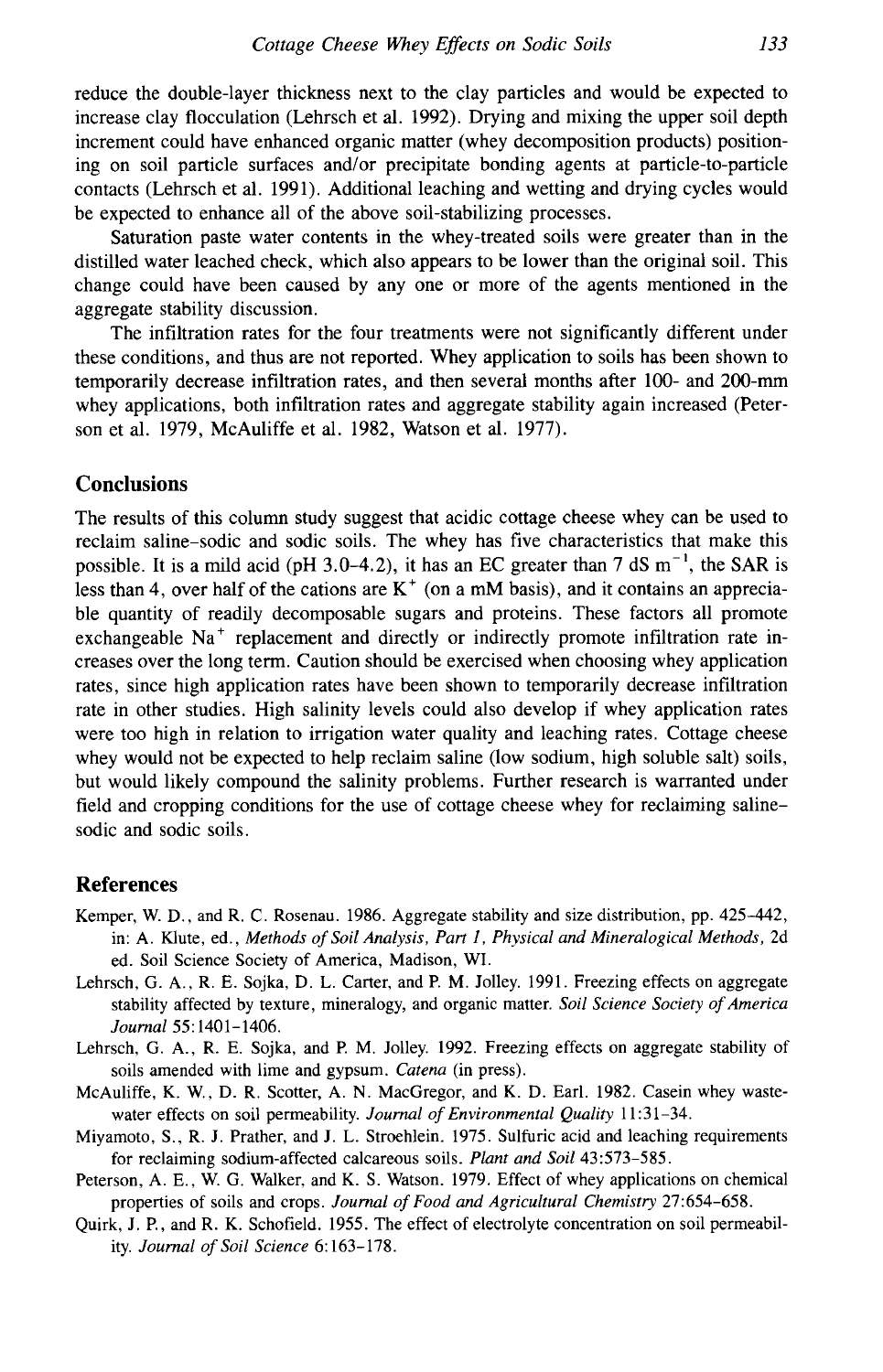reduce the double-layer thickness next to the clay particles and would be expected to increase clay flocculation (Lehrsch et al. 1992). Drying and mixing the upper soil depth increment could have enhanced organic matter (whey decomposition products) positioning on soil particle surfaces and/or precipitate bonding agents at particle-to-particle contacts (Lehrsch et al. 1991). Additional leaching and wetting and drying cycles would be expected to enhance all of the above soil-stabilizing processes.

Saturation paste water contents in the whey-treated soils were greater than in the distilled water leached check, which also appears to be lower than the original soil. This change could have been caused by any one or more of the agents mentioned in the aggregate stability discussion.

The infiltration rates for the four treatments were not significantly different under these conditions, and thus are not reported. Whey application to soils has been shown to temporarily decrease infiltration rates, and then several months after 100- and 200-mm whey applications, both infiltration rates and aggregate stability again increased (Peterson et al. 1979, McAuliffe et al. 1982, Watson et al. 1977).

### **Conclusions**

The results of this column study suggest that acidic cottage cheese whey can be used to reclaim saline-sodic and sodic soils. The whey has five characteristics that make this possible. It is a mild acid (pH 3.0–4.2), it has an EC greater than 7 dS  $m^{-1}$ , the SAR is less than 4, over half of the cations are  $K^+$  (on a mM basis), and it contains an appreciable quantity of readily decomposable sugars and proteins. These factors all promote exchangeable Na<sup>+</sup> replacement and directly or indirectly promote infiltration rate increases over the long term. Caution should be exercised when choosing whey application rates, since high application rates have been shown to temporarily decrease infiltration rate in other studies. High salinity levels could also develop if whey application rates were too high in relation to irrigation water quality and leaching rates. Cottage cheese whey would not be expected to help reclaim saline (low sodium, high soluble salt) soils, but would likely compound the salinity problems. Further research is warranted under field and cropping conditions for the use of cottage cheese whey for reclaiming salinesodic and sodic soils.

#### **References**

- Kemper, W. D., and R. C. Rosenau. 1986. Aggregate stability and size distribution, pp. 425-442, in: A. Klute, ed., *Methods of Soil Analysis, Part 1, Physical and Mineralogical Methods,* 2d ed. Soil Science Society of America, Madison, WI.
- Lehrsch, G. A., R. E. Sojka, D. L. Carter, and P. M. Jolley. 1991. Freezing effects on aggregate stability affected by texture, mineralogy, and organic matter. *Soil Science Society of America Journal 55:1401-1406.*
- Lehrsch, G. A., R. E. Sojka, and P. M. Jolley. 1992. Freezing effects on aggregate stability of soils amended with lime and gypsum. *Catena (in* press).
- McAuliffe, K. W., D. R. Scotter, A. N. MacGregor, and K. D. Earl. 1982. Casein whey wastewater effects on soil permeability. *Journal of Environmental Quality* 11:31-34.
- Miyamoto, S., R. J. Prather, and J. L. Stroehlein. 1975. Sulfuric acid and leaching requirements for reclaiming sodium-affected calcareous soils. *Plant and Soil* 43:573-585.
- Peterson, A. E., W. G. Walker, and K. S. Watson. 1979. Effect of whey applications on chemical properties of soils and crops. *Journal of Food and Agricultural Chemistry* 27:654-658.
- Quirk, J. P., and R. K. Schofield. 1955. The effect of electrolyte concentration on soil permeability. *Journal of Soil Science* 6:163-178.